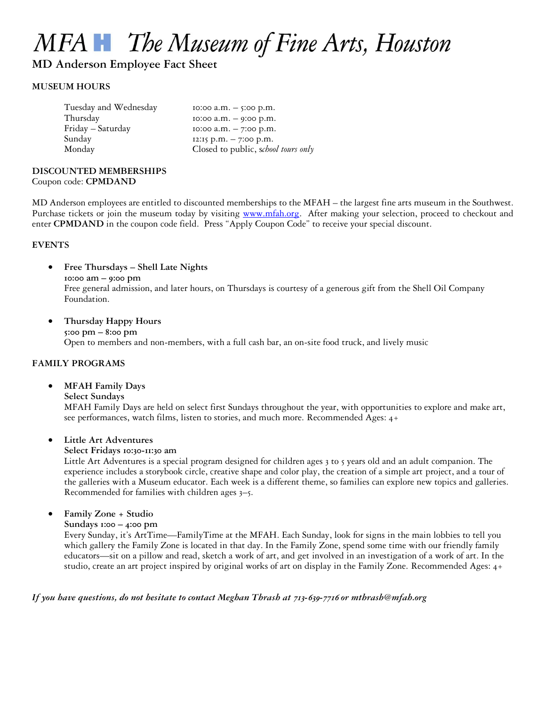# MFA The Museum of Fine Arts, Houston

**MD Anderson Employee Fact Sheet**

#### **MUSEUM HOURS**

| Tuesday and Wednesday | $10:00$ a.m. $-$ 5:00 p.m.          |
|-----------------------|-------------------------------------|
| Thursday              | $10:00$ a.m. $-$ 9:00 p.m.          |
| Friday - Saturday     | $10:00$ a.m. $-7:00$ p.m.           |
| Sunday                | $12:15$ p.m. $-7:00$ p.m.           |
| Monday                | Closed to public, school tours only |
|                       |                                     |

# **DISCOUNTED MEMBERSHIPS**

Coupon code: **CPMDAND**

MD Anderson employees are entitled to discounted memberships to the MFAH – the largest fine arts museum in the Southwest. Purchase tickets or join the museum today by visiting [www.mfah.org.](http://www.mfah.org/) After making your selection, proceed to checkout and enter **CPMDAND** in the coupon code field. Press "Apply Coupon Code" to receive your special discount.

#### **EVENTS**

**Free Thursdays – Shell Late Nights**

**10:00 am – 9:00 pm**

Free general admission, and later hours, on Thursdays is courtesy of a generous gift from the Shell Oil Company Foundation.

 **Thursday Happy Hours 5:00 pm – 8:00 pm**

Open to members and non-members, with a full cash bar, an on-site food truck, and lively music

# **FAMILY PROGRAMS**

**MFAH Family Days**

#### **Select Sundays**

MFAH Family Days are held on select first Sundays throughout the year, with opportunities to explore and make art, see performances, watch films, listen to stories, and much more. Recommended Ages: 4+

# **Little Art Adventures**

#### **Select Fridays 10:30-11:30 am**

Little Art Adventures is a special program designed for children ages 3 to 5 years old and an adult companion. The experience includes a storybook circle, creative shape and color play, the creation of a simple art project, and a tour of the galleries with a Museum educator. Each week is a different theme, so families can explore new topics and galleries. Recommended for families with children ages 3–5.

**Family Zone + Studio**

**Sundays 1:00 – 4:00 pm**

Every Sunday, it's ArtTime—FamilyTime at the MFAH. Each Sunday, look for signs in the main lobbies to tell you which gallery the Family Zone is located in that day. In the Family Zone, spend some time with our friendly family educators—sit on a pillow and read, sketch a work of art, and get involved in an investigation of a work of art. In the studio, create an art project inspired by original works of art on display in the Family Zone. Recommended Ages: 4+

# *If you have questions, do not hesitate to contact Meghan Thrash at 713-639-7716 or mthrash@mfah.org*